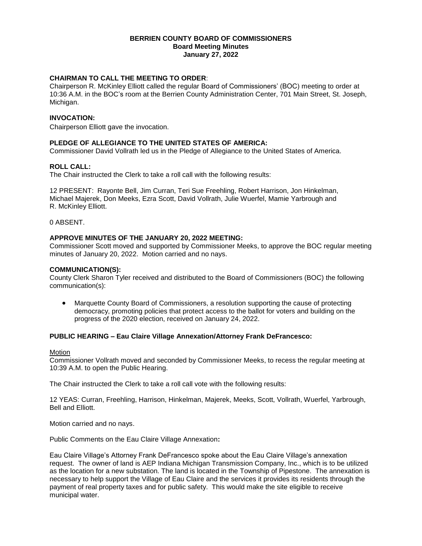#### **BERRIEN COUNTY BOARD OF COMMISSIONERS Board Meeting Minutes January 27, 2022**

# **CHAIRMAN TO CALL THE MEETING TO ORDER**:

Chairperson R. McKinley Elliott called the regular Board of Commissioners' (BOC) meeting to order at 10:36 A.M. in the BOC's room at the Berrien County Administration Center, 701 Main Street, St. Joseph, Michigan.

# **INVOCATION:**

Chairperson Elliott gave the invocation.

## **PLEDGE OF ALLEGIANCE TO THE UNITED STATES OF AMERICA:**

Commissioner David Vollrath led us in the Pledge of Allegiance to the United States of America.

## **ROLL CALL:**

The Chair instructed the Clerk to take a roll call with the following results:

12 PRESENT: Rayonte Bell, Jim Curran, Teri Sue Freehling, Robert Harrison, Jon Hinkelman, Michael Majerek, Don Meeks, Ezra Scott, David Vollrath, Julie Wuerfel, Mamie Yarbrough and R. McKinley Elliott.

0 ABSENT.

## **APPROVE MINUTES OF THE JANUARY 20, 2022 MEETING:**

Commissioner Scott moved and supported by Commissioner Meeks, to approve the BOC regular meeting minutes of January 20, 2022. Motion carried and no nays.

## **COMMUNICATION(S):**

County Clerk Sharon Tyler received and distributed to the Board of Commissioners (BOC) the following communication(s):

 Marquette County Board of Commissioners, a resolution supporting the cause of protecting democracy, promoting policies that protect access to the ballot for voters and building on the progress of the 2020 election, received on January 24, 2022.

## **PUBLIC HEARING – Eau Claire Village Annexation/Attorney Frank DeFrancesco:**

## Motion

Commissioner Vollrath moved and seconded by Commissioner Meeks, to recess the regular meeting at 10:39 A.M. to open the Public Hearing.

The Chair instructed the Clerk to take a roll call vote with the following results:

12 YEAS: Curran, Freehling, Harrison, Hinkelman, Majerek, Meeks, Scott, Vollrath, Wuerfel, Yarbrough, Bell and Elliott.

Motion carried and no nays.

Public Comments on the Eau Claire Village Annexation**:**

Eau Claire Village's Attorney Frank DeFrancesco spoke about the Eau Claire Village's annexation request. The owner of land is AEP Indiana Michigan Transmission Company, Inc., which is to be utilized as the location for a new substation. The land is located in the Township of Pipestone. The annexation is necessary to help support the Village of Eau Claire and the services it provides its residents through the payment of real property taxes and for public safety. This would make the site eligible to receive municipal water.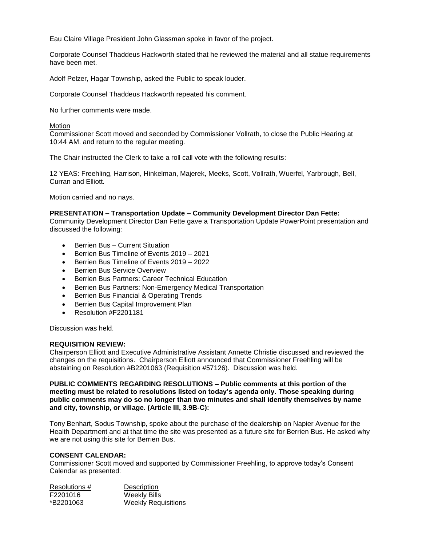Eau Claire Village President John Glassman spoke in favor of the project.

Corporate Counsel Thaddeus Hackworth stated that he reviewed the material and all statue requirements have been met.

Adolf Pelzer, Hagar Township, asked the Public to speak louder.

Corporate Counsel Thaddeus Hackworth repeated his comment.

No further comments were made.

**Motion** 

Commissioner Scott moved and seconded by Commissioner Vollrath, to close the Public Hearing at 10:44 AM. and return to the regular meeting.

The Chair instructed the Clerk to take a roll call vote with the following results:

12 YEAS: Freehling, Harrison, Hinkelman, Majerek, Meeks, Scott, Vollrath, Wuerfel, Yarbrough, Bell, Curran and Elliott.

Motion carried and no nays.

#### **PRESENTATION – Transportation Update – Community Development Director Dan Fette:**

Community Development Director Dan Fette gave a Transportation Update PowerPoint presentation and discussed the following:

- Berrien Bus Current Situation
- Berrien Bus Timeline of Events 2019 2021
- Berrien Bus Timeline of Events 2019 2022
- **Berrien Bus Service Overview**
- Berrien Bus Partners: Career Technical Education
- Berrien Bus Partners: Non-Emergency Medical Transportation
- **•** Berrien Bus Financial & Operating Trends
- Berrien Bus Capital Improvement Plan
- Resolution #F2201181

Discussion was held.

## **REQUISITION REVIEW:**

Chairperson Elliott and Executive Administrative Assistant Annette Christie discussed and reviewed the changes on the requisitions. Chairperson Elliott announced that Commissioner Freehling will be abstaining on Resolution #B2201063 (Requisition #57126). Discussion was held.

**PUBLIC COMMENTS REGARDING RESOLUTIONS – Public comments at this portion of the meeting must be related to resolutions listed on today's agenda only. Those speaking during public comments may do so no longer than two minutes and shall identify themselves by name and city, township, or village. (Article III, 3.9B-C):** 

Tony Benhart, Sodus Township, spoke about the purchase of the dealership on Napier Avenue for the Health Department and at that time the site was presented as a future site for Berrien Bus. He asked why we are not using this site for Berrien Bus.

#### **CONSENT CALENDAR:**

Commissioner Scott moved and supported by Commissioner Freehling, to approve today's Consent Calendar as presented:

| Resolutions # | Description                |
|---------------|----------------------------|
| F2201016      | Weekly Bills               |
| *B2201063     | <b>Weekly Requisitions</b> |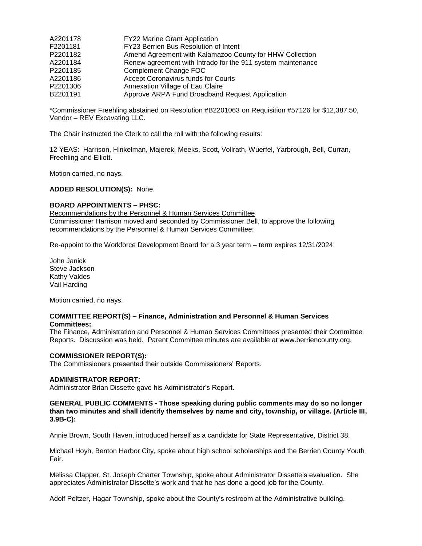| FY22 Marine Grant Application                               |
|-------------------------------------------------------------|
| FY23 Berrien Bus Resolution of Intent                       |
| Amend Agreement with Kalamazoo County for HHW Collection    |
| Renew agreement with Intrado for the 911 system maintenance |
| Complement Change FOC                                       |
| Accept Coronavirus funds for Courts                         |
| Annexation Village of Eau Claire                            |
| Approve ARPA Fund Broadband Request Application             |
|                                                             |

\*Commissioner Freehling abstained on Resolution #B2201063 on Requisition #57126 for \$12,387.50, Vendor – REV Excavating LLC.

The Chair instructed the Clerk to call the roll with the following results:

12 YEAS: Harrison, Hinkelman, Majerek, Meeks, Scott, Vollrath, Wuerfel, Yarbrough, Bell, Curran, Freehling and Elliott.

Motion carried, no nays.

#### **ADDED RESOLUTION(S):** None.

## **BOARD APPOINTMENTS – PHSC:**

Recommendations by the Personnel & Human Services Committee Commissioner Harrison moved and seconded by Commissioner Bell, to approve the following recommendations by the Personnel & Human Services Committee:

Re-appoint to the Workforce Development Board for a 3 year term – term expires 12/31/2024:

John Janick Steve Jackson Kathy Valdes Vail Harding

Motion carried, no nays.

### **COMMITTEE REPORT(S) – Finance, Administration and Personnel & Human Services Committees:**

The Finance, Administration and Personnel & Human Services Committees presented their Committee Reports. Discussion was held. Parent Committee minutes are available at www.berriencounty.org.

#### **COMMISSIONER REPORT(S):**

The Commissioners presented their outside Commissioners' Reports.

#### **ADMINISTRATOR REPORT:**

Administrator Brian Dissette gave his Administrator's Report.

#### **GENERAL PUBLIC COMMENTS - Those speaking during public comments may do so no longer than two minutes and shall identify themselves by name and city, township, or village. (Article III, 3.9B-C):**

Annie Brown, South Haven, introduced herself as a candidate for State Representative, District 38.

Michael Hoyh, Benton Harbor City, spoke about high school scholarships and the Berrien County Youth Fair.

Melissa Clapper, St. Joseph Charter Township, spoke about Administrator Dissette's evaluation. She appreciates Administrator Dissette's work and that he has done a good job for the County.

Adolf Peltzer, Hagar Township, spoke about the County's restroom at the Administrative building.